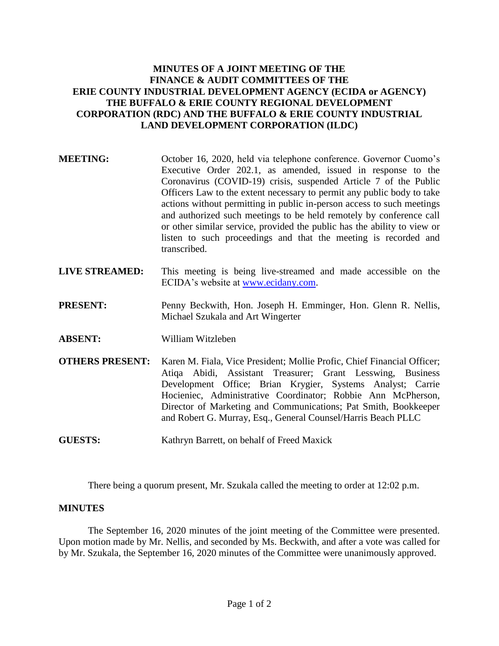## **MINUTES OF A JOINT MEETING OF THE FINANCE & AUDIT COMMITTEES OF THE ERIE COUNTY INDUSTRIAL DEVELOPMENT AGENCY (ECIDA or AGENCY) THE BUFFALO & ERIE COUNTY REGIONAL DEVELOPMENT CORPORATION (RDC) AND THE BUFFALO & ERIE COUNTY INDUSTRIAL LAND DEVELOPMENT CORPORATION (ILDC)**

- **MEETING:** October 16, 2020, held via telephone conference. Governor Cuomo's Executive Order 202.1, as amended, issued in response to the Coronavirus (COVID-19) crisis, suspended Article 7 of the Public Officers Law to the extent necessary to permit any public body to take actions without permitting in public in-person access to such meetings and authorized such meetings to be held remotely by conference call or other similar service, provided the public has the ability to view or listen to such proceedings and that the meeting is recorded and transcribed.
- **LIVE STREAMED:** This meeting is being live-streamed and made accessible on the ECIDA's website at [www.ecidany.com.](http://www.ecidany.com/)
- **PRESENT:** Penny Beckwith, Hon. Joseph H. Emminger, Hon. Glenn R. Nellis, Michael Szukala and Art Wingerter
- **ABSENT:** William Witzleben
- **OTHERS PRESENT:** Karen M. Fiala, Vice President; Mollie Profic, Chief Financial Officer; Atiqa Abidi, Assistant Treasurer; Grant Lesswing, Business Development Office; Brian Krygier, Systems Analyst; Carrie Hocieniec, Administrative Coordinator; Robbie Ann McPherson, Director of Marketing and Communications; Pat Smith, Bookkeeper and Robert G. Murray, Esq., General Counsel/Harris Beach PLLC
- **GUESTS:** Kathryn Barrett, on behalf of Freed Maxick

There being a quorum present, Mr. Szukala called the meeting to order at 12:02 p.m.

## **MINUTES**

The September 16, 2020 minutes of the joint meeting of the Committee were presented. Upon motion made by Mr. Nellis, and seconded by Ms. Beckwith, and after a vote was called for by Mr. Szukala, the September 16, 2020 minutes of the Committee were unanimously approved.